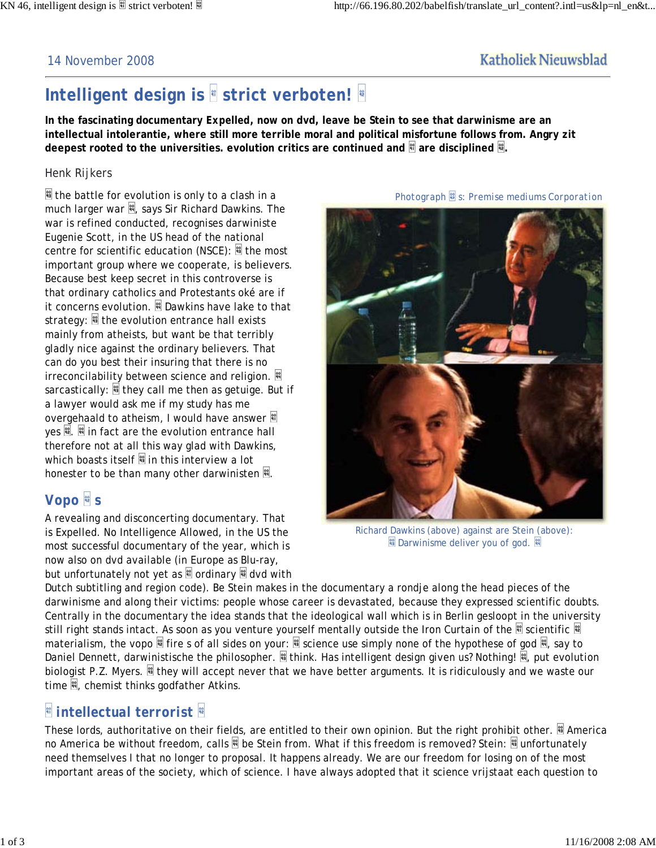*Photograph s: Premise mediums Corporation*

#### 14 November 2008

### **Katholiek Nieuwsblad**

# *Intelligent design* **is** *strict verboten!*

**In the fascinating documentary** *Expelled***, now on dvd, leave be Stein to see that darwinisme are an intellectual intolerantie, where still more terrible moral and political misfortune follows from. Angry zit** deepest rooted to the universities. evolution critics are continued and **a** are disciplined <sup>..</sup>

#### *Henk Rijkers*

 $\frac{1}{2}$  the battle for evolution is only to a clash in a much larger war  $\mathbb{R}$ , says Sir Richard Dawkins. The war is refined conducted, recognises darwiniste Eugenie Scott, in the US head of the national centre for scientific education (NSCE):  $\frac{10}{10}$  the most important group where we cooperate, is believers. Because best keep secret in this controverse is that ordinary catholics and Protestants oké are if it concerns evolution.  $\mathbb B$  Dawkins have lake to that strategy:  $\frac{10}{2}$  the evolution entrance hall exists mainly from atheists, but want be that terribly gladly nice against the ordinary believers. That can do you best their insuring that there is no irreconcilability between science and religion. sarcastically:  $\frac{10}{2}$  they call me then as getuige. But if a lawyer would ask me if my study has me overgehaald to atheism, I would have answer yes  $\mathbb{R}$ .  $\mathbb{R}$  in fact are the evolution entrance hall therefore not at all this way glad with Dawkins, which boasts itself  $\frac{m}{2}$  in this interview a lot honester to be than many other darwinisten  $\mathbb{R}$ .

## *Vopo s*

A revealing and disconcerting documentary. That is *Expelled. No Intelligence Allowed*, in the US the most successful documentary of the year, which is now also on dvd available (in Europe as Blu-ray, but unfortunately not yet as  $\frac{10}{10}$  ordinary  $\frac{10}{10}$  dvd with

Richard Dawkins (above) against are Stein (above): **Darwinisme deliver you of god.** 

Dutch subtitling and region code). Be Stein makes in the documentary a rondje along the head pieces of the darwinisme and along their victims: people whose career is devastated, because they expressed scientific doubts. Centrally in the documentary the idea stands that the ideological wall which is in Berlin gesloopt in the university still right stands intact. As soon as you venture yourself mentally outside the Iron Curtain of the iscientific materialism, the vopo  $\blacksquare$  fire s of all sides on your:  $\blacksquare$  science use simply none of the hypothese of god  $\blacksquare$ , say to Daniel Dennett, darwinistische the philosopher. <sup>图</sup> think. *Has intelligent design* given us? Nothing! <sup>图</sup>, put evolution biologist P.Z. Myers. if they will accept never that we have better arguments. It is ridiculously and we waste our time  $\frac{100}{10}$ , chemist thinks godfather Atkins.

# *intellectual terrorist*

These lords, authoritative on their fields, are entitled to their own opinion. But the right prohibit other. **America** no America be without freedom, calls  $\mathbb{N}$  be Stein from. What if this freedom is removed? Stein:  $\mathbb{N}$  unfortunately need themselves I that no longer to proposal. It happens already. We are our freedom for losing on of the most important areas of the society, which of science. I have always adopted that it science vrijstaat each question to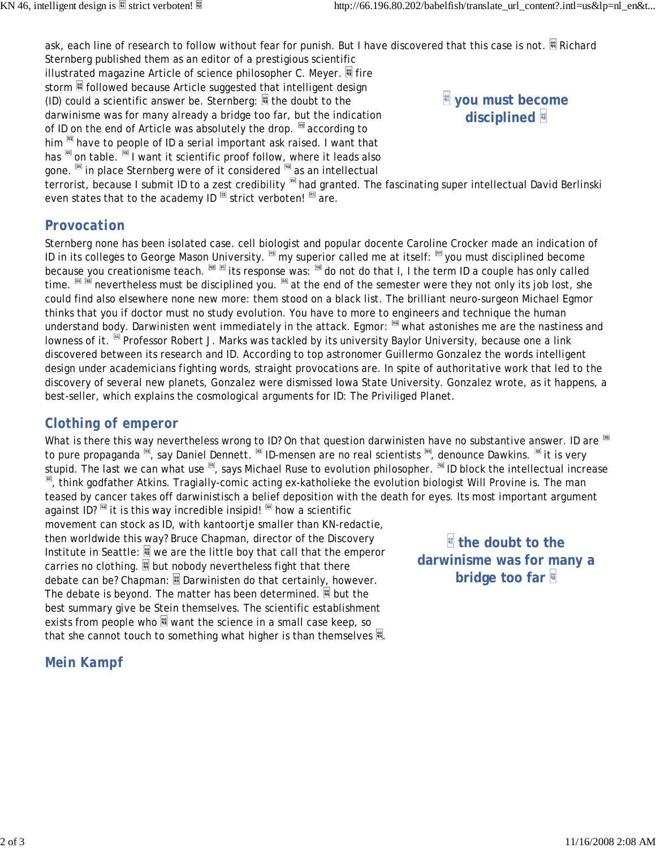ask, each line of research to follow without fear for punish. But I have discovered that this case is not. E Richard Sternberg published them as an editor of a prestigious scientific

illustrated magazine Article of science philosopher C. Meyer.  $\mathbb{S}$  fire storm<sup>3</sup> followed because Article suggested that *intelligent design* (ID) *could a* scientific answer be. Sternberg:  $\blacksquare$  the doubt to the darwinisme was for many already a bridge too far, but the indication of ID on the end of Article was absolutely the drop.  $\mathbb{F}$  according to him  $\mathbb{F}$  have to people of ID a serial important ask raised. I want that has  $\overline{N}$  on table.  $\overline{N}$  I want it scientific proof follow, where it leads also gone. III in place Sternberg were of it considered **as an intellectual** 



terrorist, because I submit ID to a zest credibility  $\frac{1}{2}$  had granted. The fascinating super intellectual David Berlinski even states that to the academy ID *strict verboten!* are.

### *Provocation*

Sternberg none has been isolated case. cell biologist and popular docente Caroline Crocker made an indication of ID in its colleges to George Mason University. superior called me at itself: superior called me itself: superior because you creationisme teach. If its response was: If do not do that I, I the term ID a couple has only called time.  $\frac{1}{\sqrt{2}}$  is a settement team the respective the end of the semester were they not only its job lost, she could find also elsewhere none new more: them stood on a black list. The brilliant neuro-surgeon Michael Egmor thinks that you if doctor must no study evolution. You have to more to engineers and technique the human understand body. Darwinisten went immediately in the attack. Egmor: substantial astonishes me are the nastiness and lowness of it. <sup>■</sup> Professor Robert J. Marks was tackled by its university Baylor University, because one a link discovered between its research and ID. According to top astronomer Guillermo Gonzalez the words *intelligent design* under academicians *fighting words*, straight provocations are. In spite of authoritative work that led to the discovery of several new planets, Gonzalez were dismissed Iowa State University. Gonzalez wrote, as it happens, a best-seller, which explains the cosmological arguments for ID: *The Priviliged Planet*.

### *Clothing of emperor*

What is there this way nevertheless wrong to ID? On that question darwinisten have no substantive answer. ID are to pure propaganda  $\overline{M}$ , say Daniel Dennett.  $\overline{M}$  ID-mensen are no real scientists  $\overline{M}$ , denounce Dawkins.  $\overline{M}$  it is very stupid. The last we can what use  $\frac{1}{10}$ , says Michael Ruse to evolution philosopher. **ID block the intellectual increase** , think godfather Atkins. Tragially-comic acting ex-katholieke the evolution biologist Will Provine is. The man teased by cancer takes off darwinistisch a belief deposition with the death for eyes. Its most important argument against ID? **is it is this way incredible insipid!** How a scientific

movement can stock as ID, with kantoortje smaller than KN-redactie, then worldwide this way? Bruce Chapman, director of the Discovery Institute in Seattle:  $\frac{10}{3}$  we are the little boy that call that the emperor carries no clothing.  $\blacksquare$  but nobody nevertheless fight that there debate can be? Chapman:  $\frac{100}{100}$  Darwinisten do that certainly, however. The debate is beyond. The matter has been determined.  $\mathbb{N}$  but the best summary give be Stein themselves. The scientific establishment exists from people who  $\frac{10}{2}$  want the science in a small case keep, so that she cannot touch to something what higher is than themselves  $\mathbb{R}$ .

*Mein Kampf*

 **the doubt to the darwinisme was for many a bridge too far**